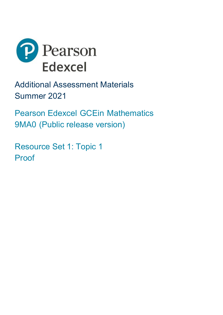

Additional Assessment Materials Summer 2021

Pearson Edexcel GCEin Mathematics 9MA0 (Public release version)

Resource Set 1: Topic 1 Proof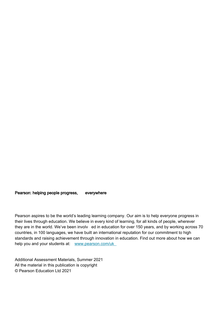Pearson: helping people progress, everywhere

Pearson aspires to be the world's leading learning company. Our aim is to help everyone progress in their lives through education. We believe in every kind of learning, for all kinds of people, wherever they are in the world. We've been involv ed in education for over 150 years, and by working across 70 countries, in 100 languages, we have built an international reputation for our commitment to high standards and raising achievement through innovation in education. Find out more about how we can help you and your students at: [www.pearson.com/uk](http://www.pearson.com/uk)

Additional Assessment Materials, Summer 2021 All the material in this publication is copyright © Pearson Education Ltd 2021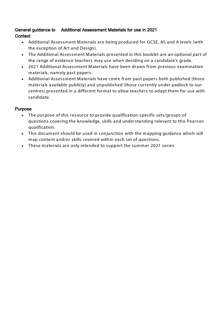## General guidance to Additional Assessment Materials for use in 2021 **Context**

- Additional Assessment Materials are being produced for GCSE, AS and A levels (with the exception of Art and Design).
- The Additional Assessment Materials presented in this booklet are an optional part of the range of evidence teachers may use when deciding on a candidate's grade.
- 2021 Additional Assessment Materials have been drawn from previous examination materials, namely past papers.
- Additional Assessment Materials have come from past papers both published (those materials available publicly) and unpublished (those currently under padlock to our centres) presented in a different format to allow teachers to adapt them for use with candidate.

## **Purpose**

- The purpose of this resource to provide qualification-specific sets/groups of questions covering the knowledge, skills and understanding relevant to this Pearson qualification.
- This document should be used in conjunction with the mapping guidance which will map content and/or skills covered within each set of questions.
- These materials are only intended to support the summer 2021 series.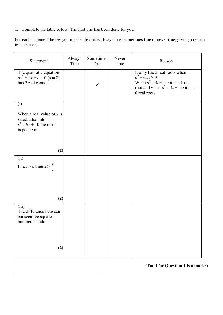**1.** Complete the table below. The first one has been done for you.

For each statement below you must state if it is always true, sometimes true or never true, giving a reason in each case.

| Statement                                                                                     | Always<br>True | Sometimes<br>True | Never<br>True | Reason                                                                                                                                          |
|-----------------------------------------------------------------------------------------------|----------------|-------------------|---------------|-------------------------------------------------------------------------------------------------------------------------------------------------|
| The quadratic equation<br>$ax^2 + bx + c = 0$ $(a \neq 0)$<br>has 2 real roots.               |                | $\checkmark$      |               | It only has 2 real roots when<br>$b^2 - 4ac > 0$<br>When $b^2 - 4ac = 0$ it has 1 real<br>root and when $b^2 - 4ac < 0$ it has<br>0 real roots. |
| (i)                                                                                           |                |                   |               |                                                                                                                                                 |
| When a real value of $x$ is<br>substituted into<br>$x^2 - 6x + 10$ the result<br>is positive. |                |                   |               |                                                                                                                                                 |
| (2)                                                                                           |                |                   |               |                                                                                                                                                 |
| (ii)<br>If $ax > b$ then $x > \frac{b}{c}$<br>$\overline{a}$                                  |                |                   |               |                                                                                                                                                 |
| (2)                                                                                           |                |                   |               |                                                                                                                                                 |
| (iii)<br>The difference between<br>consecutive square<br>numbers is odd.                      |                |                   |               |                                                                                                                                                 |
| (2)                                                                                           |                |                   |               |                                                                                                                                                 |

**(Total for Question 1 is 6 marks)**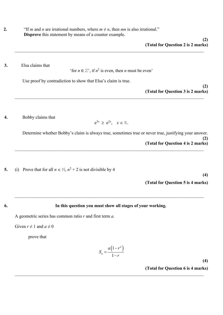**2. "If** *m* and *n* are irrational numbers, where  $m \neq n$ , then *mn* is also irrational." **Disprove** this statement by means of a counter example.

**3.** Elsa claims that

'for  $n \in \mathbb{Z}^+$ , if  $n^2$  is even, then *n* must be even'

 $\_$  , and the contribution of the contribution of the contribution of the contribution of the contribution of  $\mathcal{L}_\text{max}$ 

Use proof by contradiction to show that Elsa's claim is true.

**(2) (Total for Question 3 is 2 marks)**  $\_$  , and the contribution of the contribution of the contribution of the contribution of the contribution of  $\mathcal{L}_\text{max}$ 

**4.** Bobby claims that

$$
e^{3x} \ge e^{2x}, \quad x \in \mathbb{R}.
$$

 $\_$  , and the contribution of the contribution of the contribution of the contribution of the contribution of  $\mathcal{L}_\text{max}$ 

Determine whether Bobby's claim is always true, sometimes true or never true, justifying your answer. **(2) (Total for Question 4 is 2 marks)**

**5.** (i) Prove that for all  $n \in \mathbb{N}$ ,  $n^2 + 2$  is not divisible by 4

**(4)**

**(Total for Question 5 is 4 marks)**

## **6. In this question you must show all stages of your working.**

 $\_$  , and the contribution of the contribution of the contribution of the contribution of the contribution of  $\mathcal{L}_\text{max}$ 

A geometric series has common ratio *r* and first term *a*.

Given  $r \neq 1$  and  $a \neq 0$ 

prove that

$$
S_n = \frac{a(1 - r^n)}{1 - r}
$$

**(4) (Total for Question 6 is 4 marks)**